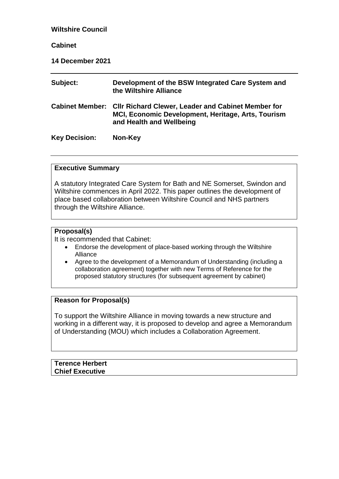| <b>Wiltshire Council</b> |                                                                                                                                             |  |  |  |
|--------------------------|---------------------------------------------------------------------------------------------------------------------------------------------|--|--|--|
| <b>Cabinet</b>           |                                                                                                                                             |  |  |  |
| 14 December 2021         |                                                                                                                                             |  |  |  |
| Subject:                 | Development of the BSW Integrated Care System and<br>the Wiltshire Alliance                                                                 |  |  |  |
| <b>Cabinet Member:</b>   | <b>CIIr Richard Clewer, Leader and Cabinet Member for</b><br>MCI, Economic Development, Heritage, Arts, Tourism<br>and Health and Wellbeing |  |  |  |
| <b>Key Decision:</b>     | Non-Key                                                                                                                                     |  |  |  |

#### **Executive Summary**

A statutory Integrated Care System for Bath and NE Somerset, Swindon and Wiltshire commences in April 2022. This paper outlines the development of place based collaboration between Wiltshire Council and NHS partners through the Wiltshire Alliance.

#### **Proposal(s)**

It is recommended that Cabinet:

- Endorse the development of place-based working through the Wiltshire Alliance
- Agree to the development of a Memorandum of Understanding (including a collaboration agreement) together with new Terms of Reference for the proposed statutory structures (for subsequent agreement by cabinet)

### **Reason for Proposal(s)**

To support the Wiltshire Alliance in moving towards a new structure and working in a different way, it is proposed to develop and agree a Memorandum of Understanding (MOU) which includes a Collaboration Agreement.

| <b>Terence Herbert</b> |  |  |
|------------------------|--|--|
| <b>Chief Executive</b> |  |  |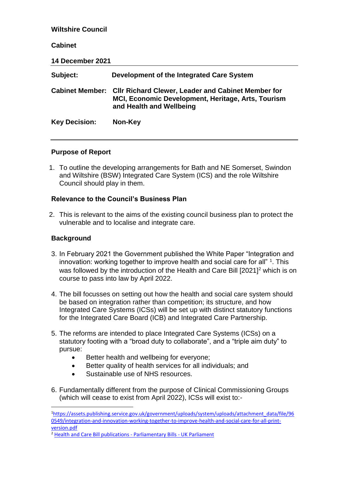| <b>Wiltshire Council</b> |                                                                                                                                             |  |  |  |
|--------------------------|---------------------------------------------------------------------------------------------------------------------------------------------|--|--|--|
| <b>Cabinet</b>           |                                                                                                                                             |  |  |  |
| 14 December 2021         |                                                                                                                                             |  |  |  |
| Subject:                 | Development of the Integrated Care System                                                                                                   |  |  |  |
| <b>Cabinet Member:</b>   | <b>CIIr Richard Clewer, Leader and Cabinet Member for</b><br>MCI, Economic Development, Heritage, Arts, Tourism<br>and Health and Wellbeing |  |  |  |
| <b>Key Decision:</b>     | Non-Key                                                                                                                                     |  |  |  |

### **Purpose of Report**

1. To outline the developing arrangements for Bath and NE Somerset, Swindon and Wiltshire (BSW) Integrated Care System (ICS) and the role Wiltshire Council should play in them.

### **Relevance to the Council's Business Plan**

2. This is relevant to the aims of the existing council business plan to protect the vulnerable and to localise and integrate care.

# **Background**

<u>.</u>

- 3. In February 2021 the Government published the White Paper "Integration and innovation: working together to improve health and social care for all"  $1$ . This was followed by the introduction of the Health and Care Bill [2021]<sup>2</sup> which is on course to pass into law by April 2022.
- 4. The bill focusses on setting out how the health and social care system should be based on integration rather than competition; its structure, and how Integrated Care Systems (ICSs) will be set up with distinct statutory functions for the Integrated Care Board (ICB) and Integrated Care Partnership.
- 5. The reforms are intended to place Integrated Care Systems (ICSs) on a statutory footing with a "broad duty to collaborate", and a "triple aim duty" to pursue:
	- Better health and wellbeing for everyone;
	- Better quality of health services for all individuals; and
	- Sustainable use of NHS resources.
- 6. Fundamentally different from the purpose of Clinical Commissioning Groups (which will cease to exist from April 2022), ICSs will exist to:-

<sup>1</sup>[https://assets.publishing.service.gov.uk/government/uploads/system/uploads/attachment\\_data/file/96](https://assets.publishing.service.gov.uk/government/uploads/system/uploads/attachment_data/file/960549/integration-and-innovation-working-together-to-improve-health-and-social-care-for-all-print-version.pdf) [0549/integration-and-innovation-working-together-to-improve-health-and-social-care-for-all-print](https://assets.publishing.service.gov.uk/government/uploads/system/uploads/attachment_data/file/960549/integration-and-innovation-working-together-to-improve-health-and-social-care-for-all-print-version.pdf)[version.pdf](https://assets.publishing.service.gov.uk/government/uploads/system/uploads/attachment_data/file/960549/integration-and-innovation-working-together-to-improve-health-and-social-care-for-all-print-version.pdf)

<sup>2</sup> [Health and Care Bill publications -](https://bills.parliament.uk/bills/3022/publications) Parliamentary Bills - UK Parliament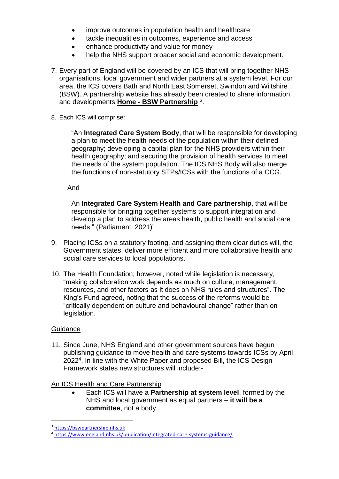- improve outcomes in population health and healthcare
- tackle inequalities in outcomes, experience and access
- enhance productivity and value for money
- help the NHS support broader social and economic development.
- 7. Every part of England will be covered by an ICS that will bring together NHS organisations, local government and wider partners at a system level. For our area, the ICS covers Bath and North East Somerset, Swindon and Wiltshire (BSW). A partnership website has already been created to share information and developments **Home - [BSW Partnership](https://bswpartnership.nhs.uk/)** <sup>3</sup> .
- 8. Each ICS will comprise:

"An **Integrated Care System Body**, that will be responsible for developing a plan to meet the health needs of the population within their defined geography; developing a capital plan for the NHS providers within their health geography; and securing the provision of health services to meet the needs of the system population. The ICS NHS Body will also merge the functions of non-statutory STPs/ICSs with the functions of a CCG.

And

An **Integrated Care System Health and Care partnership**, that will be responsible for bringing together systems to support integration and develop a plan to address the areas health, public health and social care needs." (Parliament, 2021)"

- 9. Placing ICSs on a statutory footing, and assigning them clear duties will, the Government states, deliver more efficient and more collaborative health and social care services to local populations.
- 10. The Health Foundation, however, noted while legislation is necessary, "making collaboration work depends as much on culture, management, resources, and other factors as it does on NHS rules and structures". The King's Fund agreed, noting that the success of the reforms would be "critically dependent on culture and behavioural change" rather than on legislation.

# **Guidance**

<u>.</u>

11. Since June, NHS England and other government sources have begun publishing guidance to move health and care systems towards ICSs by April 2022<sup>4</sup> . In line with the White Paper and proposed Bill, the ICS Design Framework states new structures will include:-

# An ICS Health and Care Partnership

 Each ICS will have a **Partnership at system level**, formed by the NHS and local government as equal partners – **it will be a committee**, not a body.

<sup>3</sup> [https://bswpartnership.nhs.uk](https://bswpartnership.nhs.uk/)

<sup>4</sup> <https://www.england.nhs.uk/publication/integrated-care-systems-guidance/>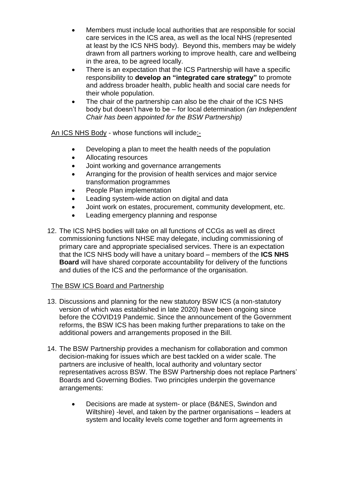- Members must include local authorities that are responsible for social care services in the ICS area, as well as the local NHS (represented at least by the ICS NHS body). Beyond this, members may be widely drawn from all partners working to improve health, care and wellbeing in the area, to be agreed locally.
- There is an expectation that the ICS Partnership will have a specific responsibility to **develop an "integrated care strategy"** to promote and address broader health, public health and social care needs for their whole population.
- The chair of the partnership can also be the chair of the ICS NHS body but doesn't have to be – for local determination *(an Independent Chair has been appointed for the BSW Partnership)*

An ICS NHS Body - whose functions will include:-

- Developing a plan to meet the health needs of the population
- Allocating resources
- Joint working and governance arrangements
- Arranging for the provision of health services and major service transformation programmes
- People Plan implementation
- Leading system-wide action on digital and data
- Joint work on estates, procurement, community development, etc.
- Leading emergency planning and response
- 12. The ICS NHS bodies will take on all functions of CCGs as well as direct commissioning functions NHSE may delegate, including commissioning of primary care and appropriate specialised services. There is an expectation that the ICS NHS body will have a unitary board – members of the **ICS NHS Board** will have shared corporate accountability for delivery of the functions and duties of the ICS and the performance of the organisation.

# The BSW ICS Board and Partnership

- 13. Discussions and planning for the new statutory BSW ICS (a non-statutory version of which was established in late 2020) have been ongoing since before the COVID19 Pandemic. Since the announcement of the Government reforms, the BSW ICS has been making further preparations to take on the additional powers and arrangements proposed in the Bill.
- 14. The BSW Partnership provides a mechanism for collaboration and common decision-making for issues which are best tackled on a wider scale. The partners are inclusive of health, local authority and voluntary sector representatives across BSW. The BSW Partnership does not replace Partners' Boards and Governing Bodies. Two principles underpin the governance arrangements:
	- Decisions are made at system- or place (B&NES, Swindon and Wiltshire) -level, and taken by the partner organisations – leaders at system and locality levels come together and form agreements in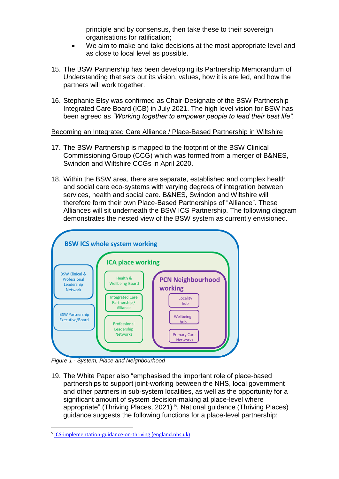principle and by consensus, then take these to their sovereign organisations for ratification;

- We aim to make and take decisions at the most appropriate level and as close to local level as possible.
- 15. The BSW Partnership has been developing its Partnership Memorandum of Understanding that sets out its vision, values, how it is are led, and how the partners will work together.
- 16. Stephanie Elsy was confirmed as Chair-Designate of the BSW Partnership Integrated Care Board (ICB) in July 2021. The high level vision for BSW has been agreed as *"Working together to empower people to lead their best life".*

### Becoming an Integrated Care Alliance / Place-Based Partnership in Wiltshire

- 17. The BSW Partnership is mapped to the footprint of the BSW Clinical Commissioning Group (CCG) which was formed from a merger of B&NES, Swindon and Wiltshire CCGs in April 2020.
- 18. Within the BSW area, there are separate, established and complex health and social care eco-systems with varying degrees of integration between services, health and social care. B&NES, Swindon and Wiltshire will therefore form their own Place-Based Partnerships of "Alliance". These Alliances will sit underneath the BSW ICS Partnership. The following diagram demonstrates the nested view of the BSW system as currently envisioned.



*Figure 1 - System, Place and Neighbourhood*

1

19. The White Paper also "emphasised the important role of place-based partnerships to support joint-working between the NHS, local government and other partners in sub-system localities, as well as the opportunity for a significant amount of system decision-making at place-level where appropriate" (Thriving Places, 2021)<sup>5</sup>. National guidance (Thriving Places) guidance suggests the following functions for a place-level partnership:

<sup>&</sup>lt;sup>5</sup> [ICS-implementation-guidance-on-thriving \(england.nhs.uk\)](https://www.england.nhs.uk/wp-content/uploads/2021/06/B0660-ics-implementation-guidance-on-thriving-places.pdf)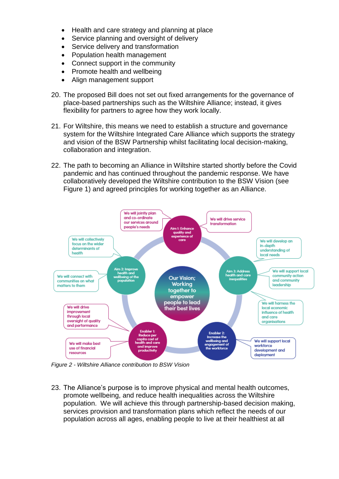- Health and care strategy and planning at place
- Service planning and oversight of delivery
- Service delivery and transformation
- Population health management
- Connect support in the community
- Promote health and wellbeing
- Align management support
- 20. The proposed Bill does not set out fixed arrangements for the governance of place-based partnerships such as the Wiltshire Alliance; instead, it gives flexibility for partners to agree how they work locally.
- 21. For Wiltshire, this means we need to establish a structure and governance system for the Wiltshire Integrated Care Alliance which supports the strategy and vision of the BSW Partnership whilst facilitating local decision-making, collaboration and integration.
- 22. The path to becoming an Alliance in Wiltshire started shortly before the Covid pandemic and has continued throughout the pandemic response. We have collaboratively developed the Wiltshire contribution to the BSW Vision (see Figure 1) and agreed principles for working together as an Alliance.



*Figure 2 - Wiltshire Alliance contribution to BSW Vision*

23. The Alliance's purpose is to improve physical and mental health outcomes, promote wellbeing, and reduce health inequalities across the Wiltshire population. We will achieve this through partnership-based decision making, services provision and transformation plans which reflect the needs of our population across all ages, enabling people to live at their healthiest at all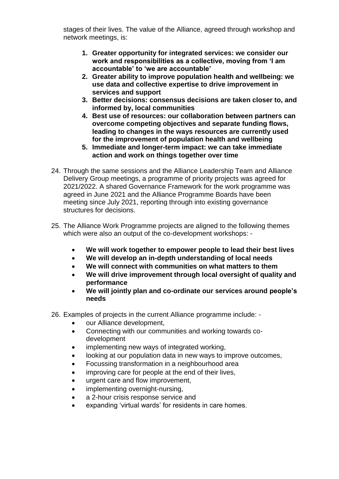stages of their lives. The value of the Alliance, agreed through workshop and network meetings, is:

- **1. Greater opportunity for integrated services: we consider our work and responsibilities as a collective, moving from 'I am accountable' to 'we are accountable'**
- **2. Greater ability to improve population health and wellbeing: we use data and collective expertise to drive improvement in services and support**
- **3. Better decisions: consensus decisions are taken closer to, and informed by, local communities**
- **4. Best use of resources: our collaboration between partners can overcome competing objectives and separate funding flows, leading to changes in the ways resources are currently used for the improvement of population health and wellbeing**
- **5. Immediate and longer-term impact: we can take immediate action and work on things together over time**
- 24. Through the same sessions and the Alliance Leadership Team and Alliance Delivery Group meetings, a programme of priority projects was agreed for 2021/2022. A shared Governance Framework for the work programme was agreed in June 2021 and the Alliance Programme Boards have been meeting since July 2021, reporting through into existing governance structures for decisions.
- 25. The Alliance Work Programme projects are aligned to the following themes which were also an output of the co-development workshops: -
	- **We will work together to empower people to lead their best lives**
	- **We will develop an in-depth understanding of local needs**
	- **We will connect with communities on what matters to them**
	- **We will drive improvement through local oversight of quality and performance**
	- **We will jointly plan and co-ordinate our services around people's needs**
- 26. Examples of projects in the current Alliance programme include:
	- our Alliance development,
	- Connecting with our communities and working towards codevelopment
	- implementing new ways of integrated working,
	- looking at our population data in new ways to improve outcomes,
	- Focussing transformation in a neighbourhood area
	- improving care for people at the end of their lives,
	- urgent care and flow improvement,
	- implementing overnight-nursing,
	- a 2-hour crisis response service and
	- expanding 'virtual wards' for residents in care homes.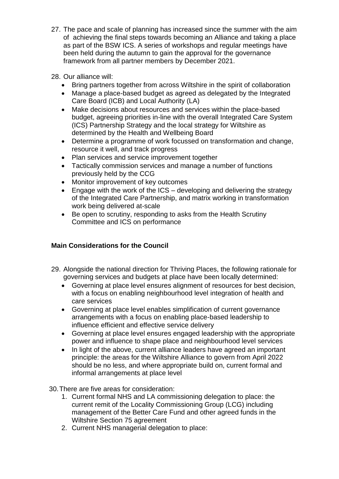- 27. The pace and scale of planning has increased since the summer with the aim of achieving the final steps towards becoming an Alliance and taking a place as part of the BSW ICS. A series of workshops and regular meetings have been held during the autumn to gain the approval for the governance framework from all partner members by December 2021.
- 28. Our alliance will:
	- Bring partners together from across Wiltshire in the spirit of collaboration
	- Manage a place-based budget as agreed as delegated by the Integrated Care Board (ICB) and Local Authority (LA)
	- Make decisions about resources and services within the place-based budget, agreeing priorities in-line with the overall Integrated Care System (ICS) Partnership Strategy and the local strategy for Wiltshire as determined by the Health and Wellbeing Board
	- Determine a programme of work focussed on transformation and change, resource it well, and track progress
	- Plan services and service improvement together
	- Tactically commission services and manage a number of functions previously held by the CCG
	- Monitor improvement of key outcomes
	- Engage with the work of the ICS developing and delivering the strategy of the Integrated Care Partnership, and matrix working in transformation work being delivered at-scale
	- Be open to scrutiny, responding to asks from the Health Scrutiny Committee and ICS on performance

# **Main Considerations for the Council**

- 29. Alongside the national direction for Thriving Places, the following rationale for governing services and budgets at place have been locally determined:
	- Governing at place level ensures alignment of resources for best decision, with a focus on enabling neighbourhood level integration of health and care services
	- Governing at place level enables simplification of current governance arrangements with a focus on enabling place-based leadership to influence efficient and effective service delivery
	- Governing at place level ensures engaged leadership with the appropriate power and influence to shape place and neighbourhood level services
	- In light of the above, current alliance leaders have agreed an important principle: the areas for the Wiltshire Alliance to govern from April 2022 should be no less, and where appropriate build on, current formal and informal arrangements at place level
- 30.There are five areas for consideration:
	- 1. Current formal NHS and LA commissioning delegation to place: the current remit of the Locality Commissioning Group (LCG) including management of the Better Care Fund and other agreed funds in the Wiltshire Section 75 agreement
	- 2. Current NHS managerial delegation to place: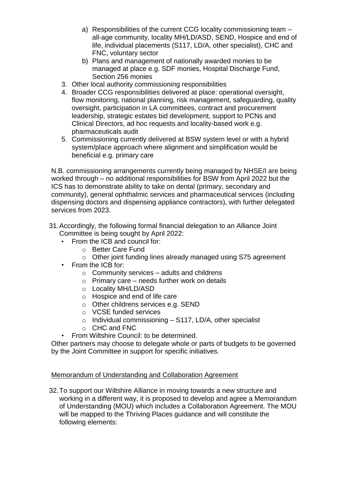- a) Responsibilities of the current CCG locality commissioning team all-age community, locality MH/LD/ASD, SEND, Hospice and end of life, individual placements (S117, LD/A, other specialist), CHC and FNC, voluntary sector
- b) Plans and management of nationally awarded monies to be managed at place e.g. SDF monies, Hospital Discharge Fund, Section 256 monies
- 3. Other local authority commissioning responsibilities
- 4. Broader CCG responsibilities delivered at place: operational oversight, flow monitoring, national planning, risk management, safeguarding, quality oversight, participation in LA committees, contract and procurement leadership, strategic estates bid development, support to PCNs and Clinical Directors, ad hoc requests and locality-based work e.g. pharmaceuticals audit
- 5. Commissioning currently delivered at BSW system level or with a hybrid system/place approach where alignment and simplification would be beneficial e.g. primary care

N.B. commissioning arrangements currently being managed by NHSE/I are being worked through – no additional responsibilities for BSW from April 2022 but the ICS has to demonstrate ability to take on dental (primary, secondary and community), general ophthalmic services and pharmaceutical services (including dispensing doctors and dispensing appliance contractors), with further delegated services from 2023.

- 31.Accordingly, the following formal financial delegation to an Alliance Joint Committee is being sought by April 2022:
	- From the ICB and council for:
		- o Better Care Fund
		- o Other joint funding lines already managed using S75 agreement
	- From the ICB for:
		- $\circ$  Community services adults and childrens
		- $\circ$  Primary care needs further work on details
		- o Locality MH/LD/ASD
		- o Hospice and end of life care
		- o Other childrens services e.g. SEND
		- o VCSE funded services
		- $\circ$  Individual commissioning S117, LD/A, other specialist
		- o CHC and FNC
	- From Wiltshire Council: to be determined.

Other partners may choose to delegate whole or parts of budgets to be governed by the Joint Committee in support for specific initiatives.

# Memorandum of Understanding and Collaboration Agreement

32.To support our Wiltshire Alliance in moving towards a new structure and working in a different way, it is proposed to develop and agree a Memorandum of Understanding (MOU) which includes a Collaboration Agreement. The MOU will be mapped to the Thriving Places guidance and will constitute the following elements: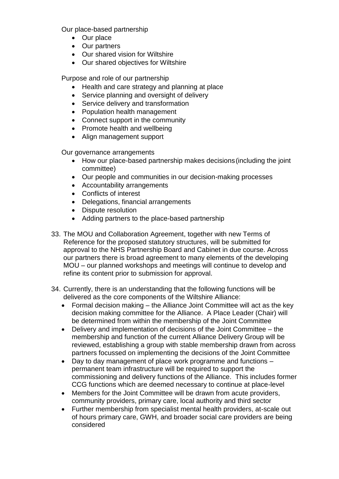Our place-based partnership

- Our place
- Our partners
- Our shared vision for Wiltshire
- Our shared objectives for Wiltshire

Purpose and role of our partnership

- Health and care strategy and planning at place
- Service planning and oversight of delivery
- Service delivery and transformation
- Population health management
- Connect support in the community
- Promote health and wellbeing
- Align management support

Our governance arrangements

- How our place-based partnership makes decisions (including the joint committee)
- Our people and communities in our decision-making processes
- Accountability arrangements
- Conflicts of interest
- Delegations, financial arrangements
- Dispute resolution
- Adding partners to the place-based partnership
- 33. The MOU and Collaboration Agreement, together with new Terms of Reference for the proposed statutory structures, will be submitted for approval to the NHS Partnership Board and Cabinet in due course. Across our partners there is broad agreement to many elements of the developing MOU – our planned workshops and meetings will continue to develop and refine its content prior to submission for approval.
- 34. Currently, there is an understanding that the following functions will be delivered as the core components of the Wiltshire Alliance:
	- Formal decision making the Alliance Joint Committee will act as the key decision making committee for the Alliance. A Place Leader (Chair) will be determined from within the membership of the Joint Committee
	- Delivery and implementation of decisions of the Joint Committee the membership and function of the current Alliance Delivery Group will be reviewed, establishing a group with stable membership drawn from across partners focussed on implementing the decisions of the Joint Committee
	- Day to day management of place work programme and functions permanent team infrastructure will be required to support the commissioning and delivery functions of the Alliance. This includes former CCG functions which are deemed necessary to continue at place-level
	- Members for the Joint Committee will be drawn from acute providers, community providers, primary care, local authority and third sector
	- Further membership from specialist mental health providers, at-scale out of hours primary care, GWH, and broader social care providers are being considered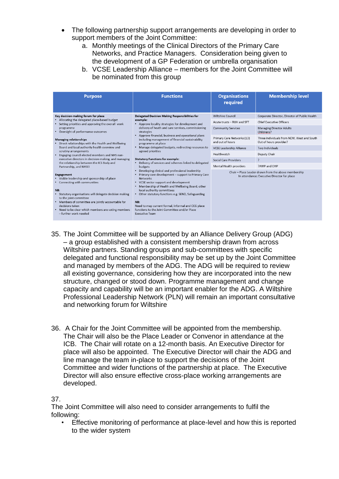- The following partnership support arrangements are developing in order to support members of the Joint Committee:
	- a. Monthly meetings of the Clinical Directors of the Primary Care Networks, and Practice Managers. Consideration being given to the development of a GP Federation or umbrella organisation
	- b. VCSE Leadership Alliance members for the Joint Committee will be nominated from this group

|                                                                                                                                                                                                                                                                                                                                                                                                                                                                                                                                                                                                                                                                                                                                                                                                                                                                                                                                                                                                                                                                                                                                                                                                                                                                                                                                                                                                                                                                                                                                                                                                                                                                                                                                                                                                                                                                                                             | <b>Functions</b><br><b>Organisations</b><br>required                                                                                                                                                                                 | <b>Membership level</b>                                                                                                                                                                                                                                                                                                                                                               |
|-------------------------------------------------------------------------------------------------------------------------------------------------------------------------------------------------------------------------------------------------------------------------------------------------------------------------------------------------------------------------------------------------------------------------------------------------------------------------------------------------------------------------------------------------------------------------------------------------------------------------------------------------------------------------------------------------------------------------------------------------------------------------------------------------------------------------------------------------------------------------------------------------------------------------------------------------------------------------------------------------------------------------------------------------------------------------------------------------------------------------------------------------------------------------------------------------------------------------------------------------------------------------------------------------------------------------------------------------------------------------------------------------------------------------------------------------------------------------------------------------------------------------------------------------------------------------------------------------------------------------------------------------------------------------------------------------------------------------------------------------------------------------------------------------------------------------------------------------------------------------------------------------------------|--------------------------------------------------------------------------------------------------------------------------------------------------------------------------------------------------------------------------------------|---------------------------------------------------------------------------------------------------------------------------------------------------------------------------------------------------------------------------------------------------------------------------------------------------------------------------------------------------------------------------------------|
| Key decision-making forum for place<br>Delegated Decision Making Responsibilities for<br>• Allocating the delegated place-based budget<br>example:<br>Setting priorities and approving the overall work<br>• Approve locality strategies for development and<br>delivery of heath and care services, commissioning<br>programme<br>• Oversight of performance outcomes<br>strategies<br>• Approve financial, business and operational plans<br>including management of financial sustainability<br><b>Managing relationships</b><br>Direct relationships with the Health and Wellbeing<br>programme at place<br>$\bullet$<br>Board and local authority health overview and<br>• Manage delegated budgets, redirecting resources to<br>scrutiny arrangements<br>agreed priorities<br>Engaging council elected members and NHS non-<br>٠<br>executive directors in decision-making, and managing<br><b>Statutory Functions for example:</b><br>• Delivery of services and schemes linked to delegated<br>the relationship between the ICS Body and<br>Partnership, and NHSEI<br>budgets<br>• Developing clinical and professional leadership<br>• Primary care development - support to Primary Care<br><b>Engagement</b><br>• Visible leadership and sponsorship of place<br><b>Networks</b><br>• VCSE sector support and development<br>• Connecting with communities<br>. Membership of Health and Wellbeing Board, other<br>local authority committees<br>NB:<br>· Statutory organisations will delegate decision making<br>• Other statutory functions e.g. SEND, Safeguarding<br>to the joint committee<br>. Members of committee are jointly accountable for<br>NB:<br>decisions taken<br>Need to map current formal, informal and CCG place<br>. Need to be clear which members are voting members<br>functions to the Joint Committee and/or Place<br>- further work needed<br><b>Executive Team</b> | Wiltshire Council<br>Acute trusts - RUH and SFT<br><b>Community Services</b><br>Primary Care Networks (13)<br>and out of hours<br><b>VCSE Leadership Alliance</b><br>Healthwatch<br>Social Care Providers<br>Mental Health providers | Corporate Director, Director of Public Health<br><b>Chief Executive Officers</b><br><b>Managing Director Adults</b><br>Childrens?<br>Three individuals from NEW. West and South<br>Out of hours provider?<br>Two individuals<br>Deputy Chair<br>$\overline{?}$<br>?AWP and OHP<br>Chair - Place Leader drawn from the above membership<br>In attendance: Executive Director for place |

- 35. The Joint Committee will be supported by an Alliance Delivery Group (ADG) – a group established with a consistent membership drawn from across Wiltshire partners. Standing groups and sub-committees with specific delegated and functional responsibility may be set up by the Joint Committee and managed by members of the ADG. The ADG will be required to review all existing governance, considering how they are incorporated into the new structure, changed or stood down. Programme management and change capacity and capability will be an important enabler for the ADG. A Wiltshire Professional Leadership Network (PLN) will remain an important consultative and networking forum for Wiltshire
- 36. A Chair for the Joint Committee will be appointed from the membership. The Chair will also be the Place Leader or Convenor in attendance at the ICB. The Chair will rotate on a 12-month basis. An Executive Director for place will also be appointed. The Executive Director will chair the ADG and line manage the team in-place to support the decisions of the Joint Committee and wider functions of the partnership at place. The Executive Director will also ensure effective cross-place working arrangements are developed.

### 37.

The Joint Committee will also need to consider arrangements to fulfil the following:

• Effective monitoring of performance at place-level and how this is reported to the wider system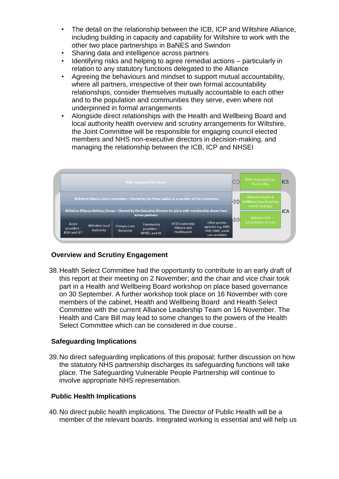- The detail on the relationship between the ICB, ICP and Wiltshire Alliance, including building in capacity and capability for Wiltshire to work with the other two place partnerships in BaNES and Swindon
- Sharing data and intelligence across partners
- Identifying risks and helping to agree remedial actions particularly in relation to any statutory functions delegated to the Alliance
- Agreeing the behaviours and mindset to support mutual accountability, where all partners, irrespective of their own formal accountability relationships, consider themselves mutually accountable to each other and to the population and communities they serve, even where not underpinned in formal arrangements
- Alongside direct relationships with the Health and Wellbeing Board and local authority health overview and scrutiny arrangements for Wiltshire, the Joint Committee will be responsible for engaging council elected members and NHS non-executive directors in decision-making, and managing the relationship between the ICB, ICP and NHSEI



# **Overview and Scrutiny Engagement**

38.Health Select Committee had the opportunity to contribute to an early draft of this report at their meeting on 2 November; and the chair and vice chair took part in a Health and Wellbeing Board workshop on place based governance on 30 September. A further workshop took place on 16 November with core members of the cabinet, Health and Wellbeing Board and Health Select Committee with the current Alliance Leadership Team on 16 November. The Health and Care Bill may lead to some changes to the powers of the Health Select Committee which can be considered in due course..

# **Safeguarding Implications**

39.No direct safeguarding implications of this proposal; further discussion on how the statutory NHS partnership discharges its safeguarding functions will take place. The Safeguarding Vulnerable People Partnership will continue to involve appropriate NHS representation.

# **Public Health Implications**

40.No direct public health implications. The Director of Public Health will be a member of the relevant boards. Integrated working is essential and will help us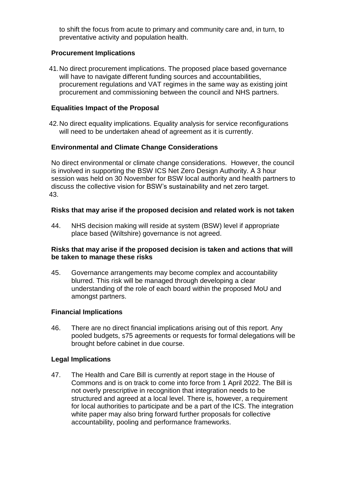to shift the focus from acute to primary and community care and, in turn, to preventative activity and population health.

### **Procurement Implications**

41.No direct procurement implications. The proposed place based governance will have to navigate different funding sources and accountabilities, procurement regulations and VAT regimes in the same way as existing joint procurement and commissioning between the council and NHS partners.

### **Equalities Impact of the Proposal**

42.No direct equality implications. Equality analysis for service reconfigurations will need to be undertaken ahead of agreement as it is currently.

### **Environmental and Climate Change Considerations**

No direct environmental or climate change considerations. However, the council is involved in supporting the BSW ICS Net Zero Design Authority. A 3 hour session was held on 30 November for BSW local authority and health partners to discuss the collective vision for BSW's sustainability and net zero target. 43.

### **Risks that may arise if the proposed decision and related work is not taken**

44. NHS decision making will reside at system (BSW) level if appropriate place based (Wiltshire) governance is not agreed.

#### **Risks that may arise if the proposed decision is taken and actions that will be taken to manage these risks**

45. Governance arrangements may become complex and accountability blurred. This risk will be managed through developing a clear understanding of the role of each board within the proposed MoU and amongst partners.

### **Financial Implications**

46. There are no direct financial implications arising out of this report. Any pooled budgets, s75 agreements or requests for formal delegations will be brought before cabinet in due course.

### **Legal Implications**

47. The Health and Care Bill is currently at report stage in the House of Commons and is on track to come into force from 1 April 2022. The Bill is not overly prescriptive in recognition that integration needs to be structured and agreed at a local level. There is, however, a requirement for local authorities to participate and be a part of the ICS. The integration white paper may also bring forward further proposals for collective accountability, pooling and performance frameworks.